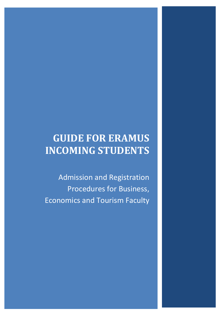# GUIDE FOR ERAMUS INCOMING STUDENTS

Admission and Registration Procedures for Business, Economics and Tourism Faculty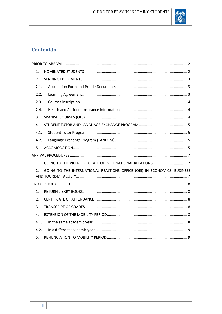

# Contenido

| 1.   |                                                                          |
|------|--------------------------------------------------------------------------|
| 2.   |                                                                          |
| 2.1. |                                                                          |
| 2.2. |                                                                          |
| 2.3. |                                                                          |
| 2.4. |                                                                          |
| 3.   |                                                                          |
| 4.   |                                                                          |
| 4.1. |                                                                          |
| 4.2. |                                                                          |
| 5.   |                                                                          |
|      |                                                                          |
| 1.   |                                                                          |
| 2.   | GOING TO THE INTERNATIONAL REALTIONS OFFICE (ORI) IN ECONOMICS, BUSINESS |
|      |                                                                          |
| 1.   |                                                                          |
| 2.   |                                                                          |
| 3.   |                                                                          |
| 4.   |                                                                          |
| 4.1. |                                                                          |
| 4.2. |                                                                          |
| 5.   |                                                                          |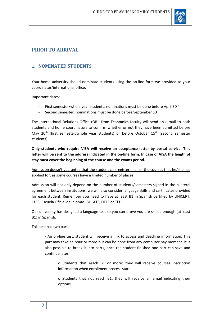

# PRIOR TO ARRIVAL

#### 1. NOMINATED STUDENTS

Your home university should nominate students using the on-line form we provided to your coordinator/international office.

Important dates:

- First semester/whole year students: nominations must be done before April 30<sup>th</sup>
- Second semester: nominations must be done before September  $30<sup>th</sup>$

The International Relations Office (ORI) from Economics faculty will send an e-mail to both students and home coordinators to confirm whether or not they have been admitted before May 20<sup>th</sup> (first semester/whole year students) or before October 15<sup>th</sup> (second semester students).

Only students who require VISA will receive an acceptance letter by postal service. This letter will be sent to the address indicated in the on-line form. In case of VISA the length of stay must cover the beginning of the course and the exams period.

Admission doesn't guarantee that the student can register in all of the courses that he/she has applied for, as some courses have a limited number of places.

Admission will not only depend on the number of students/semesters signed in the bilateral agreement between institutions, we will also consider language skills and certificates provided for each student. Remember you need to have at least B1 in Spanish certified by UNICERT, CLES, Escuela Oficial de Idiomas, BULATS, DELE or TELC.

Our university has designed a language test so you can prove you are skilled enough (at least B1) in Spanish.

This test has two parts:

- An on-line test: student will receive a link to access and deadline information. This part may take an hour or more but can be done from any computer nay moment. It is also possible to break it into parts, once the student finished one part can save and continue later:

o Students that reach B1 or more: they will receive courses inscription information when enrollment process start

o Students that not reach B1: they will receive an email indicating their options.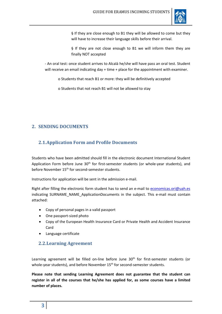

§ If they are close enough to B1 they will be allowed to come but they will have to increase their language skills before their arrival.

§ If they are not close enough to B1 we will inform them they are finally NOT accepted

- An oral test: once student arrives to Alcalá he/she will have pass an oral test. Student will receive an email indicating day + time + place for the appointment with examiner.

o Students that reach B1 or more: they will be definitively accepted

o Students that not reach B1 will not be allowed to stay

## 2. SENDING DOCUMENTS

# 2.1.Application Form and Profile Documents

Students who have been admitted should fill in the electronic document International Student Application Form before June 30<sup>th</sup> for first-semester students (or whole-year students), and before November 15<sup>th</sup> for second-semester students.

Instructions for application will be sent in the admission e-mail.

Right after filling the electronic form student has to send an e-mail to economicas.ori@uah.es indicating SURNAME\_NAME\_ApplicationDocuments in the subject. This e-mail must contain attached:

- Copy of personal pages in a valid passport
- One passport-sized photo
- Copy of the European Health Insurance Card or Private Health and Accident Insurance Card
- Language certificate

#### 2.2.Learning Agreement

Learning agreement will be filled on-line before June 30<sup>th</sup> for first-semester students (or whole-year students), and before November 15<sup>th</sup> for second-semester students.

Please note that sending Learning Agreement does not guarantee that the student can register in all of the courses that he/she has applied for, as some courses have a limited number of places.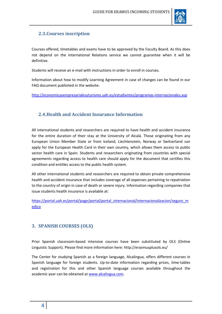

# 2.3.Courses inscription

Courses offered, timetables and exams have to be approved by the Faculty Board. As this does not depend on the International Relations service we cannot guarantee when it will be definitive.

Students will receive an e-mail with instructions in order to enroll in courses.

Information about how to modify Learning Agreement in case of changes can be found in our FAQ document published in the website:

http://economicasempresarialesyturismo.uah.es/estudiantes/programas-internacionales.asp

# 2.4.Health and Accident Insurance Information

All international students and researchers are required to have health and accident insurance for the entire duration of their stay at the University of Alcalá. Those originating from any European Union Member State or from Iceland, Liechtenstein, Norway or Switzerland can apply for the European Health Card in their own country, which allows them access to public sector health care in Spain. Students and researchers originating from countries with special agreements regarding access to health care should apply for the document that certifies this condition and entitles access to the public health system.

All other international students and researchers are required to obtain private comprehensive health and accident insurance that includes coverage of all expenses pertaining to repatriation to the country of origin in case of death or severe injury. Information regarding companies that issue students health insurance is available at:

https://portal.uah.es/portal/page/portal/portal\_internacional/internacionalizacion/seguro\_m edico

#### 3. SPANISH COURSES (OLS)

Prior Spanish classroom-based intensive courses have been substituted by OLS (Online Linguistic Support). Please find more information here: http://erasmusplusols.eu/

The Center for studying Spanish as a foreign language, Alcalingua, offers different courses in Spanish language for foreign students. Up-to-date information regarding prices, time-tables and registration for this and other Spanish language courses available throughout the academic year can be obtained at www.alcalingua.com.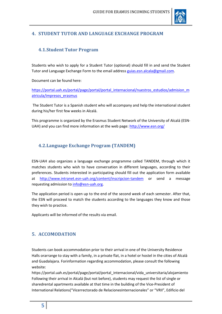

# 4. STUDENT TUTOR AND LANGUAGE EXCHANGE PROGRAM

# 4.1.Student Tutor Program

Students who wish to apply for a Student Tutor (optional) should fill in and send the Student Tutor and Language Exchange Form to the email address guias.esn.alcala@gmail.com.

Document can be found here:

https://portal.uah.es/portal/page/portal/portal\_internacional/nuestros\_estudios/admision\_m atricula/impresos\_erasmus

 The Student Tutor is a Spanish student who will accompany and help the international student during his/her first few weeks in Alcalá.

This programme is organized by the Erasmus Student Network of the University of Alcalá (ESN-UAH) and you can find more information at the web page: http://www.esn.org/

# 4.2.Language Exchange Program (TANDEM)

ESN-UAH also organizes a language exchange programme called TANDEM, through which it matches students who wish to have conversation in different languages, according to their preferences. Students interested in participating should fill out the application form available at http://www.intranet.esn-uah.org/content/inscripcion-tandem or send a message requesting admission to info@esn-uah.org.

The application period is open up to the end of the second week of each semester. After that, the ESN will proceed to match the students according to the languages they know and those they wish to practice.

Applicants will be informed of the results via email.

#### 5. ACCOMODATION

Students can book accommodation prior to their arrival in one of the University Residence Halls orarrange to stay with a family, in a private flat, in a hotel or hostel in the cities of Alcalá and Guadalajara. Forinformation regarding accommodation, please consult the following website:

https://portal.uah.es/portal/page/portal/portal\_internacional/vida\_universitaria/alojamiento Following their arrival in Alcalá (but not before), students may request the list of single or sharedrental apartments available at that time in the building of the Vice-President of International Relations("Vicerrectorado de RelacionesInternacionales" or "VRII", Edificio del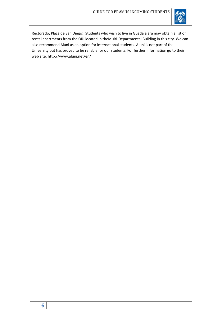

Rectorado, Plaza de San Diego). Students who wish to live in Guadalajara may obtain a list of rental apartments from the ORI located in theMulti-Departmental Building in this city. We can also recommend Aluni as an option for international students. Aluni is not part of the University but has proved to be reliable for our students. For further information go to their web site: http://www.aluni.net/en/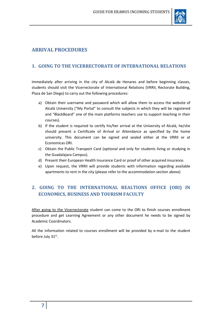

# ARRIVAL PROCEDURES

# 1. GOING TO THE VICERRECTORATE OF INTERNATIONAL RELATIONS

Immediately after arriving in the city of Alcalá de Henares and before beginning classes, students should visit the Vicerrectorate of International Relations (VRRII, Rectorate Building, Plaza de San Diego) to carry out the following procedures:

- a) Obtain their username and password which will allow them to access the website of Alcalá University ("My Portal" to consult the subjects in which they will be registered and "BlackBoard" one of the main platforms teachers use to support teaching in their courses).
- b) If the student is required to certify his/her arrival at the University of Alcalá, he/she should present a Certificate of Arrival or Attendance as specified by the home university. This document can be signed and sealed either at the VRRII or at Economicas ORI.
- c) Obtain the Public Transport Card (optional and only for students living or studying in the Guadalajara Campus).
- d) Present their European Health Insurance Card or proof of other acquired insurance.
- e) Upon request, the VRRII will provide students with information regarding available apartments to rent in the city (please refer to the accommodation section above)

# 2. GOING TO THE INTERNATIONAL REALTIONS OFFICE (ORI) IN ECONOMICS, BUSINESS AND TOURISM FACULTY

After going to the Vicerrectorate student can come to the ORI to finish courses enrollment procedure and get Learning Agreement or any other document he needs to be signed by Academic Coordinators.

All the information related to courses enrollment will be provided by e-mail to the student before July 31st.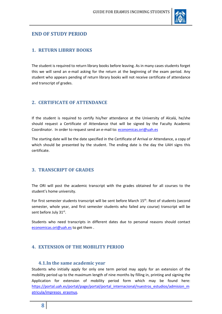

#### END OF STUDY PERIOD

#### 1. RETURN LIBRRY BOOKS

The student is required to return library books before leaving. As in many cases students forget this we will send an e-mail asking for the return at the beginning of the exam period. Any student who appears pending of return library books will not receive certificate of attendance and transcript of grades.

#### 2. CERTIFICATE OF ATTENDANCE

If the student is required to certify his/her attendance at the University of Alcalá, he/she should request a Certificate of Attendance that will be signed by the Faculty Academic Coordinator. In order to request send an e-mail to: economicas.ori@uah.es

The starting date will be the date specified in the Certificate of Arrival or Attendance, a copy of which should be presented by the student. The ending date is the day the UAH signs this certificate.

#### 3. TRANSCRIPT OF GRADES

The ORI will post the academic transcript with the grades obtained for all courses to the student's home university.

For first semester students transcript will be sent before March 15th. Rest of students (second semester, whole year, and first semester students who failed any course) transcript will be sent before July 31st.

Students who need transcripts in different dates due to personal reasons should contact economicas.ori@uah.es to get them.

#### 4. EXTENSION OF THE MOBILITY PERIOD

#### 4.1.In the same academic year

Students who initially apply for only one term period may apply for an extension of the mobility period up to the maximum length of nine months by filling in, printing and signing the Application for extension of mobility period form which may be found here: https://portal.uah.es/portal/page/portal/portal\_internacional/nuestros\_estudios/admision\_m atricula/impresos\_erasmus.